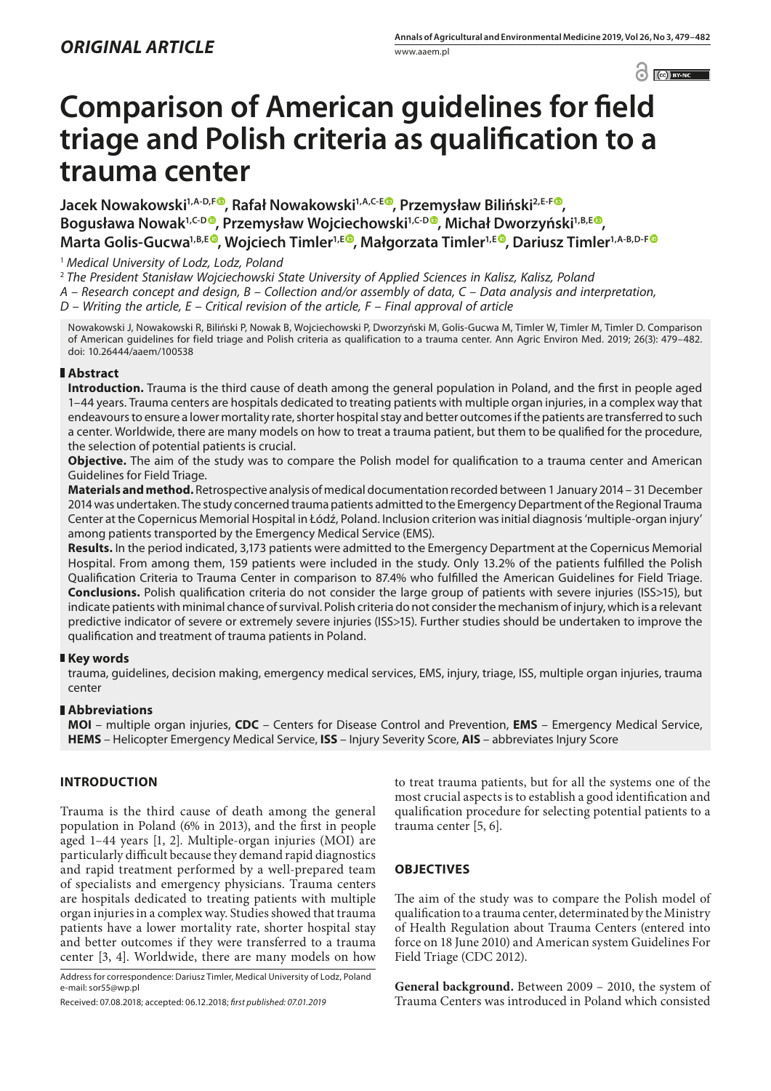$\left| \begin{array}{c} c \end{array} \right|$   $\left| \begin{array}{c} c \end{array} \right|$   $\left| \begin{array}{c} \text{IV-NC} \\ \text{IV-NC} \end{array} \right|$ 

# **Comparison of American guidelines for field triage and Polish criteria as qualification to a trauma center**

**Jacek Nowakowski1,A-D,F [,](https://orcid.org/0000-0003-3631-1057) Rafał Nowakowski1,A,C-E , Przemysław Biliński2,E-[F](https://orcid.org/0000-0002-8247-4343) ,**  Bogusława Nowak<sup>1[,](https://orcid.org/0000-0002-0986-1902)C-D</sup><sup>®</sup>, Przemysław Wojciechowski<sup>1,C-D®</sup>, Michał Dworzyński<sup>1,B,[E](https://orcid.org/0000-0001-8435-644X)®</sup>, **Marta Golis-Gucwa<sup>1,B,E®</sup>, Wojciech Timler<sup>1,E®</sup>, Małgorzata Timler<sup>1,E®</sup>, Dariusz Timler<sup>1,A-B,D-[F](https://orcid.org/0000-0002-5415-5660)®**</sup>

## <sup>1</sup> *Medical University of Lodz, Lodz, Poland*

<sup>2</sup> *The President Stanisław Wojciechowski State University of Applied Sciences in Kalisz, Kalisz, Poland A – Research concept and design, B – Collection and/or assembly of data, C – Data analysis and interpretation, D – Writing the article, E – Critical revision of the article, F – Final approval of article*

Nowakowski J, Nowakowski R, Biliński P, Nowak B, Wojciechowski P, Dworzyński M, Golis-Gucwa M, Timler W, Timler M, Timler D. Comparison of American guidelines for field triage and Polish criteria as qualification to a trauma center. Ann Agric Environ Med. 2019; 26(3): 479–482. doi: 10.26444/aaem/100538

## **Abstract**

**Introduction.** Trauma is the third cause of death among the general population in Poland, and the first in people aged 1–44 years. Trauma centers are hospitals dedicated to treating patients with multiple organ injuries, in a complex way that endeavours to ensure a lower mortality rate, shorter hospital stay and better outcomes if the patients are transferred to such a center. Worldwide, there are many models on how to treat a trauma patient, but them to be qualified for the procedure, the selection of potential patients is crucial.

**Objective.** The aim of the study was to compare the Polish model for qualification to a trauma center and American Guidelines for Field Triage.

**Materials and method.** Retrospective analysis of medical documentation recorded between 1 January 2014 – 31 December 2014 was undertaken. The study concerned trauma patients admitted to the Emergency Department of the Regional Trauma Center at the Copernicus Memorial Hospital in Łódź, Poland. Inclusion criterion was initial diagnosis 'multiple-organ injury' among patients transported by the Emergency Medical Service (EMS).

**Results.** In the period indicated, 3,173 patients were admitted to the Emergency Department at the Copernicus Memorial Hospital. From among them, 159 patients were included in the study. Only 13.2% of the patients fulfilled the Polish Qualification Criteria to Trauma Center in comparison to 87.4% who fulfilled the American Guidelines for Field Triage. **Conclusions.** Polish qualification criteria do not consider the large group of patients with severe injuries (ISS>15), but indicate patients with minimal chance of survival. Polish criteria do not consider the mechanism of injury, which is a relevant predictive indicator of severe or extremely severe injuries (ISS>15). Further studies should be undertaken to improve the qualification and treatment of trauma patients in Poland.

## **Key words**

trauma, guidelines, decision making, emergency medical services, EMS, injury, triage, ISS, multiple organ injuries, trauma center

## **Abbreviations**

**MOI** – multiple organ injuries, **CDC** – Centers for Disease Control and Prevention, **EMS** – Emergency Medical Service, **HEMS** – Helicopter Emergency Medical Service, **ISS** – Injury Severity Score, **AIS** – abbreviates Injury Score

## **INTRODUCTION**

Trauma is the third cause of death among the general population in Poland (6% in 2013), and the first in people aged 1–44 years [1, 2]. Multiple-organ injuries (MOI) are particularly difficult because they demand rapid diagnostics and rapid treatment performed by a well-prepared team of specialists and emergency physicians. Trauma centers are hospitals dedicated to treating patients with multiple organ injuries in a complex way. Studies showed that trauma patients have a lower mortality rate, shorter hospital stay and better outcomes if they were transferred to a trauma center [3, 4]. Worldwide, there are many models on how

Address for correspondence: Dariusz Timler, Medical University of Lodz, Poland e-mail: sor55@wp.pl

to treat trauma patients, but for all the systems one of the most crucial aspects is to establish a good identification and qualification procedure for selecting potential patients to a trauma center [5, 6].

## **OBJECTIVES**

The aim of the study was to compare the Polish model of qualification to a trauma center, determinated by the Ministry of Health Regulation about Trauma Centers (entered into force on 18 June 2010) and American system Guidelines For Field Triage (CDC 2012).

**General background.** Between 2009 – 2010, the system of Trauma Centers was introduced in Poland which consisted

Received: 07.08.2018; accepted: 06.12.2018; *first published: 07.01.2019*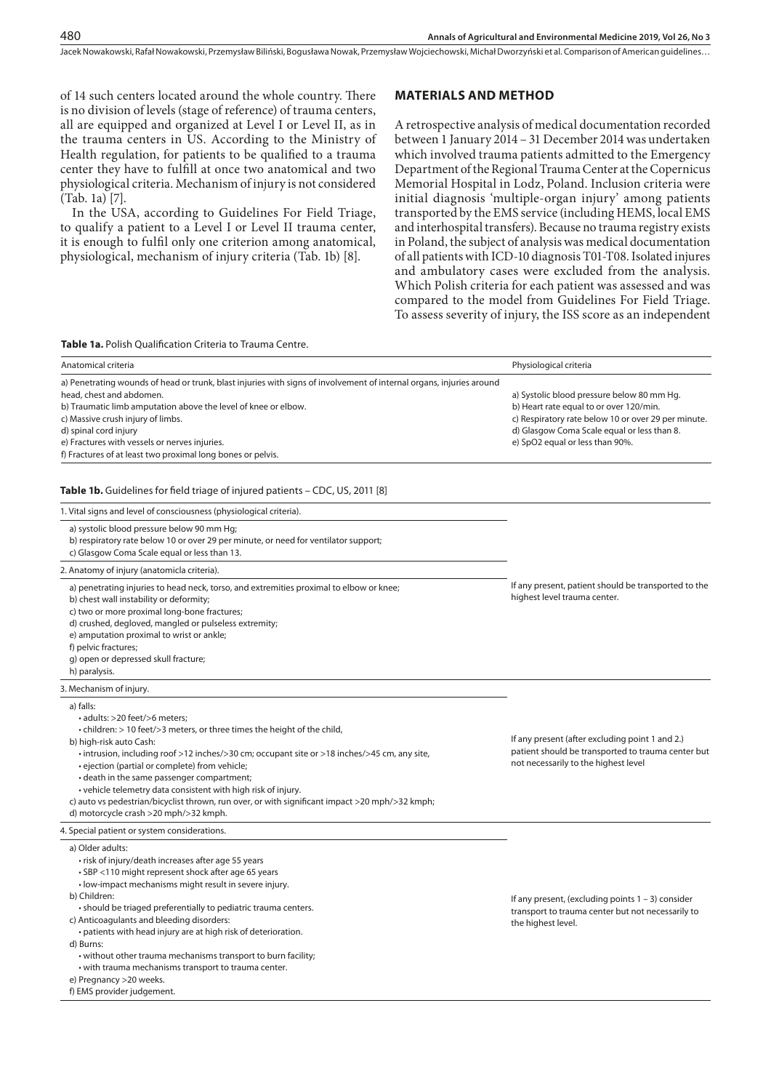Jacek Nowakowski, Rafał Nowakowski, Przemysław Biliński, Bogusława Nowak, Przemysław Wojciechowski, Michał Dworzyński et al. Comparison of American guidelines…

of 14 such centers located around the whole country. There is no division of levels (stage of reference) of trauma centers, all are equipped and organized at Level I or Level II, as in the trauma centers in US. According to the Ministry of Health regulation, for patients to be qualified to a trauma center they have to fulfill at once two anatomical and two physiological criteria. Mechanism of injury is not considered (Tab. 1a) [7].

In the USA, according to Guidelines For Field Triage, to qualify a patient to a Level I or Level II trauma center, it is enough to fulfil only one criterion among anatomical, physiological, mechanism of injury criteria (Tab. 1b) [8].

#### **MATERIALS AND METHOD**

A retrospective analysis of medical documentation recorded between 1 January 2014 – 31 December 2014 was undertaken which involved trauma patients admitted to the Emergency Department of the Regional Trauma Center at the Copernicus Memorial Hospital in Lodz, Poland. Inclusion criteria were initial diagnosis 'multiple-organ injury' among patients transported by the EMS service (including HEMS, local EMS and interhospital transfers). Because no trauma registry exists in Poland, the subject of analysis was medical documentation of all patients with ICD-10 diagnosis T01-T08. Isolated injures and ambulatory cases were excluded from the analysis. Which Polish criteria for each patient was assessed and was compared to the model from Guidelines For Field Triage. To assess severity of injury, the ISS score as an independent

**Table 1a.** Polish Qualification Criteria to Trauma Centre.

| Anatomical criteria                                                                                                                                                                                                                                                                                                                                                                                                                                                                                                                                                                       | Physiological criteria                                                                                                                                                                                                         |
|-------------------------------------------------------------------------------------------------------------------------------------------------------------------------------------------------------------------------------------------------------------------------------------------------------------------------------------------------------------------------------------------------------------------------------------------------------------------------------------------------------------------------------------------------------------------------------------------|--------------------------------------------------------------------------------------------------------------------------------------------------------------------------------------------------------------------------------|
| a) Penetrating wounds of head or trunk, blast injuries with signs of involvement of internal organs, injuries around<br>head, chest and abdomen.<br>b) Traumatic limb amputation above the level of knee or elbow.<br>c) Massive crush injury of limbs.<br>d) spinal cord injury<br>e) Fractures with vessels or nerves injuries.<br>f) Fractures of at least two proximal long bones or pelvis.                                                                                                                                                                                          | a) Systolic blood pressure below 80 mm Hg.<br>b) Heart rate equal to or over 120/min.<br>c) Respiratory rate below 10 or over 29 per minute.<br>d) Glasgow Coma Scale equal or less than 8.<br>e) SpO2 equal or less than 90%. |
| <b>Table 1b.</b> Guidelines for field triage of injured patients – CDC, US, 2011 [8]                                                                                                                                                                                                                                                                                                                                                                                                                                                                                                      |                                                                                                                                                                                                                                |
| 1. Vital signs and level of consciousness (physiological criteria).                                                                                                                                                                                                                                                                                                                                                                                                                                                                                                                       |                                                                                                                                                                                                                                |
| a) systolic blood pressure below 90 mm Hg;<br>b) respiratory rate below 10 or over 29 per minute, or need for ventilator support;<br>c) Glasgow Coma Scale equal or less than 13.                                                                                                                                                                                                                                                                                                                                                                                                         |                                                                                                                                                                                                                                |
| 2. Anatomy of injury (anatomicla criteria).                                                                                                                                                                                                                                                                                                                                                                                                                                                                                                                                               |                                                                                                                                                                                                                                |
| a) penetrating injuries to head neck, torso, and extremities proximal to elbow or knee;<br>b) chest wall instability or deformity;<br>c) two or more proximal long-bone fractures;<br>d) crushed, degloved, mangled or pulseless extremity;<br>e) amputation proximal to wrist or ankle;<br>f) pelvic fractures;<br>g) open or depressed skull fracture;<br>h) paralysis.                                                                                                                                                                                                                 | If any present, patient should be transported to the<br>highest level trauma center.                                                                                                                                           |
| 3. Mechanism of injury.                                                                                                                                                                                                                                                                                                                                                                                                                                                                                                                                                                   |                                                                                                                                                                                                                                |
| a) falls:<br>• adults: >20 feet/>6 meters:<br>• children: > 10 feet/>3 meters, or three times the height of the child,<br>b) high-risk auto Cash:<br>• intrusion, including roof >12 inches/>30 cm; occupant site or >18 inches/>45 cm, any site,<br>· ejection (partial or complete) from vehicle;<br>• death in the same passenger compartment;<br>• vehicle telemetry data consistent with high risk of injury.<br>c) auto vs pedestrian/bicyclist thrown, run over, or with significant impact >20 mph/>32 kmph;<br>d) motorcycle crash >20 mph/>32 kmph.                             | If any present (after excluding point 1 and 2.)<br>patient should be transported to trauma center but<br>not necessarily to the highest level                                                                                  |
| 4. Special patient or system considerations.                                                                                                                                                                                                                                                                                                                                                                                                                                                                                                                                              |                                                                                                                                                                                                                                |
| a) Older adults:<br>• risk of injury/death increases after age 55 years<br>· SBP <110 might represent shock after age 65 years<br>• low-impact mechanisms might result in severe injury.<br>b) Children:<br>· should be triaged preferentially to pediatric trauma centers.<br>c) Anticoagulants and bleeding disorders:<br>• patients with head injury are at high risk of deterioration.<br>d) Burns:<br>• without other trauma mechanisms transport to burn facility;<br>• with trauma mechanisms transport to trauma center.<br>e) Pregnancy >20 weeks.<br>f) EMS provider judgement. | If any present, (excluding points $1 - 3$ ) consider<br>transport to trauma center but not necessarily to<br>the highest level.                                                                                                |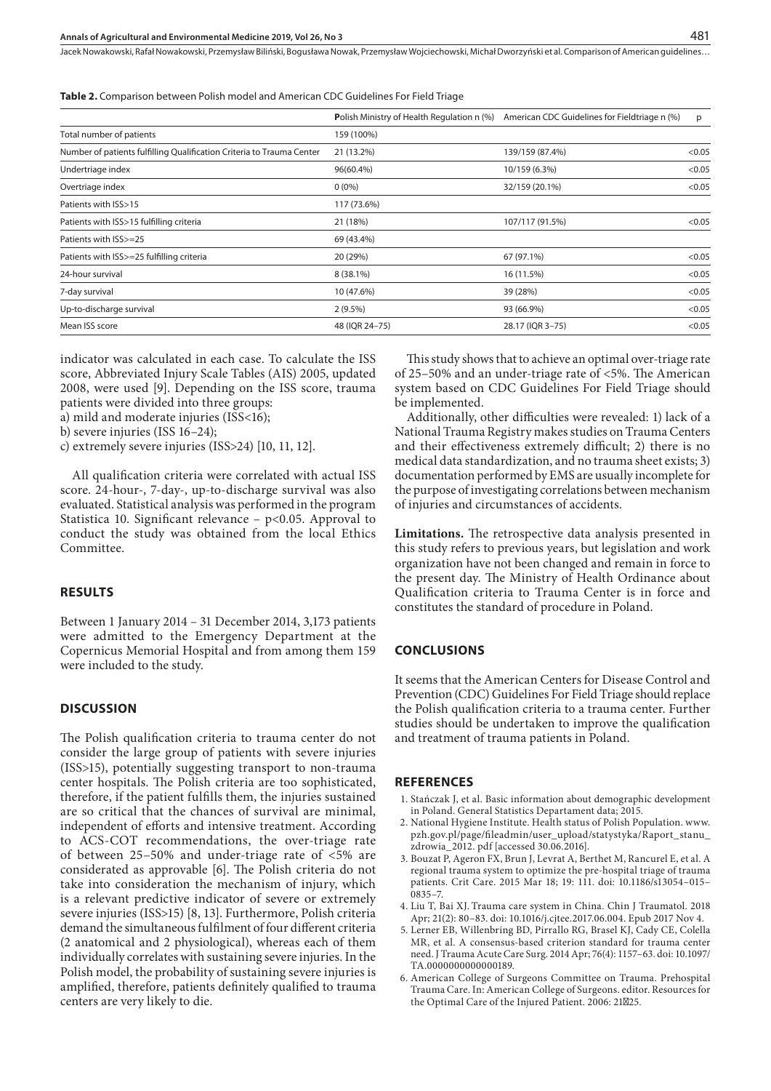Jacek Nowakowski, Rafał Nowakowski, Przemysław Biliński, Bogusława Nowak, Przemysław Wojciechowski, Michał Dworzyński et al. Comparison of American guidelines…

**Table 2.** Comparison between Polish model and American CDC Guidelines For Field Triage

|                                                                       | <b>Polish Ministry of Health Regulation n (%)</b> | American CDC Guidelines for Fieldtriage n (%) | p      |
|-----------------------------------------------------------------------|---------------------------------------------------|-----------------------------------------------|--------|
| Total number of patients                                              | 159 (100%)                                        |                                               |        |
| Number of patients fulfilling Qualification Criteria to Trauma Center | 21 (13.2%)                                        | 139/159 (87.4%)                               | < 0.05 |
| Undertriage index                                                     | 96(60.4%)                                         | 10/159 (6.3%)                                 | < 0.05 |
| Overtriage index                                                      | $0(0\%)$                                          | 32/159 (20.1%)                                | < 0.05 |
| Patients with ISS>15                                                  | 117 (73.6%)                                       |                                               |        |
| Patients with ISS>15 fulfilling criteria                              | 21 (18%)                                          | 107/117 (91.5%)                               | < 0.05 |
| Patients with ISS>=25                                                 | 69 (43.4%)                                        |                                               |        |
| Patients with ISS>=25 fulfilling criteria                             | 20 (29%)                                          | 67 (97.1%)                                    | < 0.05 |
| 24-hour survival                                                      | 8 (38.1%)                                         | 16 (11.5%)                                    | < 0.05 |
| 7-day survival                                                        | 10 (47.6%)                                        | 39 (28%)                                      | < 0.05 |
| Up-to-discharge survival                                              | $2(9.5\%)$                                        | 93 (66.9%)                                    | < 0.05 |
| Mean ISS score                                                        | 48 (IQR 24-75)                                    | 28.17 (IQR 3-75)                              | < 0.05 |

indicator was calculated in each case. To calculate the ISS score, Abbreviated Injury Scale Tables (AIS) 2005, updated 2008, were used [9]. Depending on the ISS score, trauma patients were divided into three groups:

a) mild and moderate injuries (ISS<16);

b) severe injuries (ISS 16–24);

c) extremely severe injuries (ISS>24) [10, 11, 12].

All qualification criteria were correlated with actual ISS score. 24-hour-, 7-day-, up-to-discharge survival was also evaluated. Statistical analysis was performed in the program Statistica 10. Significant relevance  $-$  p<0.05. Approval to conduct the study was obtained from the local Ethics Committee.

#### **RESULTS**

Between 1 January 2014 – 31 December 2014, 3,173 patients were admitted to the Emergency Department at the Copernicus Memorial Hospital and from among them 159 were included to the study.

#### **DISCUSSION**

The Polish qualification criteria to trauma center do not consider the large group of patients with severe injuries (ISS>15), potentially suggesting transport to non-trauma center hospitals. The Polish criteria are too sophisticated, therefore, if the patient fulfills them, the injuries sustained are so critical that the chances of survival are minimal, independent of efforts and intensive treatment. According to ACS-COT recommendations, the over-triage rate of between 25–50% and under-triage rate of <5% are considerated as approvable [6]. The Polish criteria do not take into consideration the mechanism of injury, which is a relevant predictive indicator of severe or extremely severe injuries (ISS>15) [8, 13]. Furthermore, Polish criteria demand the simultaneous fulfilment of four different criteria (2 anatomical and 2 physiological), whereas each of them individually correlates with sustaining severe injuries. In the Polish model, the probability of sustaining severe injuries is amplified, therefore, patients definitely qualified to trauma centers are very likely to die.

This study shows that to achieve an optimal over-triage rate of 25–50% and an under-triage rate of <5%. The American system based on CDC Guidelines For Field Triage should be implemented.

Additionally, other difficulties were revealed: 1) lack of a National Trauma Registry makes studies on Trauma Centers and their effectiveness extremely difficult; 2) there is no medical data standardization, and no trauma sheet exists; 3) documentation performed by EMS are usually incomplete for the purpose of investigating correlations between mechanism of injuries and circumstances of accidents.

**Limitations.** The retrospective data analysis presented in this study refers to previous years, but legislation and work organization have not been changed and remain in force to the present day. The Ministry of Health Ordinance about Qualification criteria to Trauma Center is in force and constitutes the standard of procedure in Poland.

#### **CONCLUSIONS**

It seems that the American Centers for Disease Control and Prevention (CDC) Guidelines For Field Triage should replace the Polish qualification criteria to a trauma center. Further studies should be undertaken to improve the qualification and treatment of trauma patients in Poland.

#### **REFERENCES**

- 1. Stańczak J, et al. Basic information about demographic development in Poland. General Statistics Departament data; 2015.
- 2. National Hygiene Institute. Health status of Polish Population. www. pzh.gov.pl/page/fileadmin/user\_upload/statystyka/Raport\_stanu\_ zdrowia\_2012. pdf [accessed 30.06.2016].
- 3. [Bouzat P](https://www.ncbi.nlm.nih.gov/pubmed/?term=Bouzat P%5BAuthor%5D&cauthor=true&cauthor_uid=25887150), [Ageron FX](https://www.ncbi.nlm.nih.gov/pubmed/?term=Ageron FX%5BAuthor%5D&cauthor=true&cauthor_uid=25887150), [Brun J,](https://www.ncbi.nlm.nih.gov/pubmed/?term=Brun J%5BAuthor%5D&cauthor=true&cauthor_uid=25887150) [Levrat A](https://www.ncbi.nlm.nih.gov/pubmed/?term=Levrat A%5BAuthor%5D&cauthor=true&cauthor_uid=25887150), [Berthet M](https://www.ncbi.nlm.nih.gov/pubmed/?term=Berthet M%5BAuthor%5D&cauthor=true&cauthor_uid=25887150), [Rancurel E,](https://www.ncbi.nlm.nih.gov/pubmed/?term=Rancurel E%5BAuthor%5D&cauthor=true&cauthor_uid=25887150) et al. A regional trauma system to optimize the pre-hospital triage of trauma patients. [Crit Care.](https://www.ncbi.nlm.nih.gov/pubmed/25887150) 2015 Mar 18; 19: 111. doi: 10.1186/s13054–015– 0835–7.
- 4. [Liu T](https://www.ncbi.nlm.nih.gov/pubmed/?term=Liu T%5BAuthor%5D&cauthor=true&cauthor_uid=29246656), [Bai XJ](https://www.ncbi.nlm.nih.gov/pubmed/?term=Bai XJ%5BAuthor%5D&cauthor=true&cauthor_uid=29246656). Trauma care system in China. [Chin J Traumatol.](https://www.ncbi.nlm.nih.gov/pubmed/29246656) 2018 Apr; 21(2): 80–83. doi: 10.1016/j.cjtee.2017.06.004. Epub 2017 Nov 4.
- 5. [Lerner EB](https://www.ncbi.nlm.nih.gov/pubmed/?term=Lerner EB%5BAuthor%5D&cauthor=true&cauthor_uid=24662885), [Willenbring BD,](https://www.ncbi.nlm.nih.gov/pubmed/?term=Willenbring BD%5BAuthor%5D&cauthor=true&cauthor_uid=24662885) [Pirrallo RG,](https://www.ncbi.nlm.nih.gov/pubmed/?term=Pirrallo RG%5BAuthor%5D&cauthor=true&cauthor_uid=24662885) [Brasel KJ,](https://www.ncbi.nlm.nih.gov/pubmed/?term=Brasel KJ%5BAuthor%5D&cauthor=true&cauthor_uid=24662885) [Cady CE,](https://www.ncbi.nlm.nih.gov/pubmed/?term=Cady CE%5BAuthor%5D&cauthor=true&cauthor_uid=24662885) [Colella](https://www.ncbi.nlm.nih.gov/pubmed/?term=Colella MR%5BAuthor%5D&cauthor=true&cauthor_uid=24662885)  [MR](https://www.ncbi.nlm.nih.gov/pubmed/?term=Colella MR%5BAuthor%5D&cauthor=true&cauthor_uid=24662885), et al. A consensus-based criterion standard for trauma center need. [J Trauma Acute Care Surg.](https://www.ncbi.nlm.nih.gov/pubmed/24662885) 2014 Apr; 76(4): 1157–63. doi: 10.1097/ TA.0000000000000189.
- 6. American College of Surgeons Committee on Trauma. Prehospital Trauma Care. In: American College of Surgeons. editor. Resources for the Optimal Care of the Injured Patient. 2006: 21‐25.